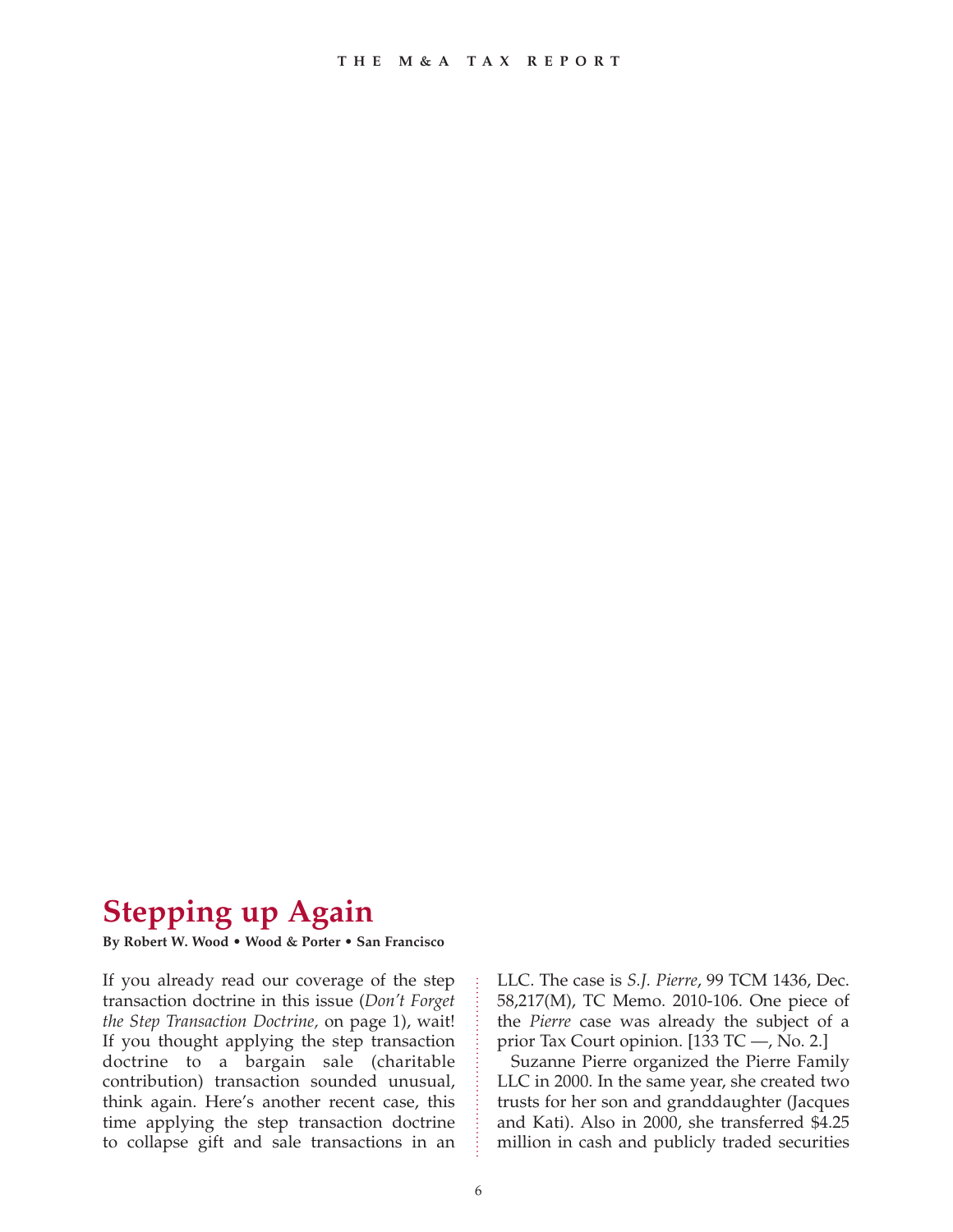# **Stepping up Again**

**By Robert W. Wood • Wood & Porter • San Francisco**

If you already read our coverage of the step transaction doctrine in this issue (*Don't Forget the Step Transaction Doctrine,* on page 1), wait! If you thought applying the step transaction doctrine to a bargain sale (charitable contribution) transaction sounded unusual, think again. Here's another recent case, this time applying the step transaction doctrine to collapse gift and sale transactions in an

LLC. The case is *S.J. Pierre*, 99 TCM 1436, Dec. 58,217(M), TC Memo. 2010-106. One piece of the *Pierre* case was already the subject of a prior Tax Court opinion. [133 TC —, No. 2.]

Suzanne Pierre organized the Pierre Family LLC in 2000. In the same year, she created two trusts for her son and granddaughter (Jacques and Kati). Also in 2000, she transferred \$4.25 million in cash and publicly traded securities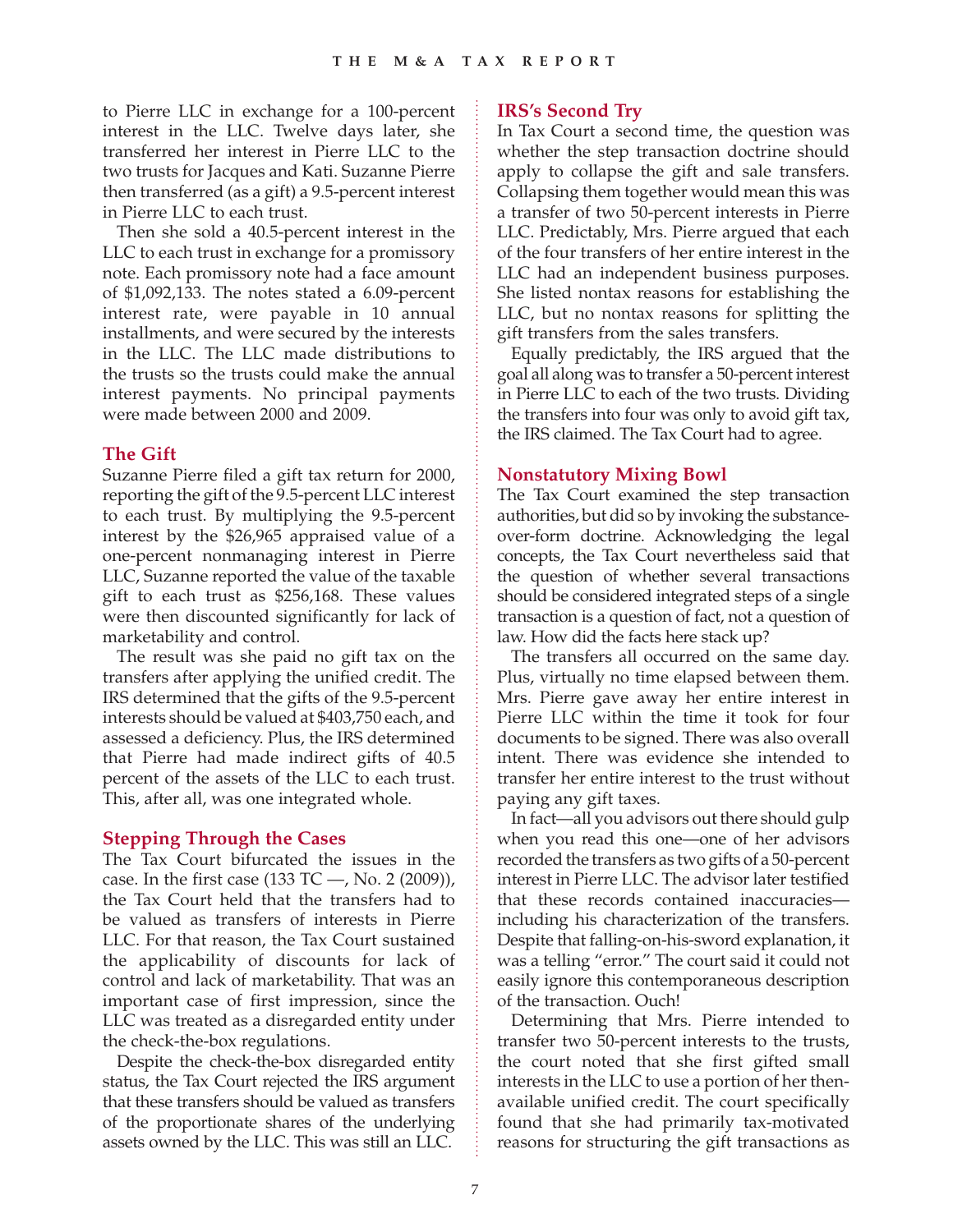to Pierre LLC in exchange for a 100-percent interest in the LLC. Twelve days later, she transferred her interest in Pierre LLC to the two trusts for Jacques and Kati. Suzanne Pierre then transferred (as a gift) a 9.5-percent interest in Pierre LLC to each trust.

Then she sold a 40.5-percent interest in the LLC to each trust in exchange for a promissory note. Each promissory note had a face amount of \$1,092,133. The notes stated a 6.09-percent interest rate, were payable in 10 annual installments, and were secured by the interests in the LLC. The LLC made distributions to the trusts so the trusts could make the annual interest payments. No principal payments were made between 2000 and 2009.

#### **The Gift**

Suzanne Pierre filed a gift tax return for 2000, reporting the gift of the 9.5-percent LLC interest to each trust. By multiplying the 9.5-percent interest by the \$26,965 appraised value of a one-percent nonmanaging interest in Pierre LLC, Suzanne reported the value of the taxable gift to each trust as \$256,168. These values were then discounted significantly for lack of marketability and control.

The result was she paid no gift tax on the transfers after applying the unified credit. The IRS determined that the gifts of the 9.5-percent interests should be valued at \$403,750 each, and assessed a deficiency. Plus, the IRS determined that Pierre had made indirect gifts of 40.5 percent of the assets of the LLC to each trust. This, after all, was one integrated whole.

#### **Stepping Through the Cases**

The Tax Court bifurcated the issues in the case. In the first case  $(133 \text{ TC} -$ , No. 2  $(2009)$ ), the Tax Court held that the transfers had to be valued as transfers of interests in Pierre LLC. For that reason, the Tax Court sustained the applicability of discounts for lack of control and lack of marketability. That was an important case of first impression, since the LLC was treated as a disregarded entity under the check-the-box regulations.

Despite the check-the-box disregarded entity status, the Tax Court rejected the IRS argument that these transfers should be valued as transfers of the proportionate shares of the underlying assets owned by the LLC. This was still an LLC.

## **IRS's Second Try**

In Tax Court a second time, the question was whether the step transaction doctrine should apply to collapse the gift and sale transfers. Collapsing them together would mean this was a transfer of two 50-percent interests in Pierre LLC. Predictably, Mrs. Pierre argued that each of the four transfers of her entire interest in the LLC had an independent business purposes. She listed nontax reasons for establishing the LLC, but no nontax reasons for splitting the gift transfers from the sales transfers.

Equally predictably, the IRS argued that the goal all along was to transfer a 50-percent interest in Pierre LLC to each of the two trusts. Dividing the transfers into four was only to avoid gift tax, the IRS claimed. The Tax Court had to agree.

#### **Nonstatutory Mixing Bowl**

The Tax Court examined the step transaction authorities, but did so by invoking the substanceover-form doctrine. Acknowledging the legal concepts, the Tax Court nevertheless said that the question of whether several transactions should be considered integrated steps of a single transaction is a question of fact, not a question of law. How did the facts here stack up?

The transfers all occurred on the same day. Plus, virtually no time elapsed between them. Mrs. Pierre gave away her entire interest in Pierre LLC within the time it took for four documents to be signed. There was also overall intent. There was evidence she intended to transfer her entire interest to the trust without paying any gift taxes.

In fact—all you advisors out there should gulp when you read this one—one of her advisors recorded the transfers as two gifts of a 50-percent interest in Pierre LLC. The advisor later testified that these records contained inaccuracies including his characterization of the transfers. Despite that falling-on-his-sword explanation, it was a telling "error." The court said it could not easily ignore this contemporaneous description of the transaction. Ouch!

Determining that Mrs. Pierre intended to transfer two 50-percent interests to the trusts, the court noted that she first gifted small interests in the LLC to use a portion of her thenavailable unified credit. The court specifically found that she had primarily tax-motivated reasons for structuring the gift transactions as